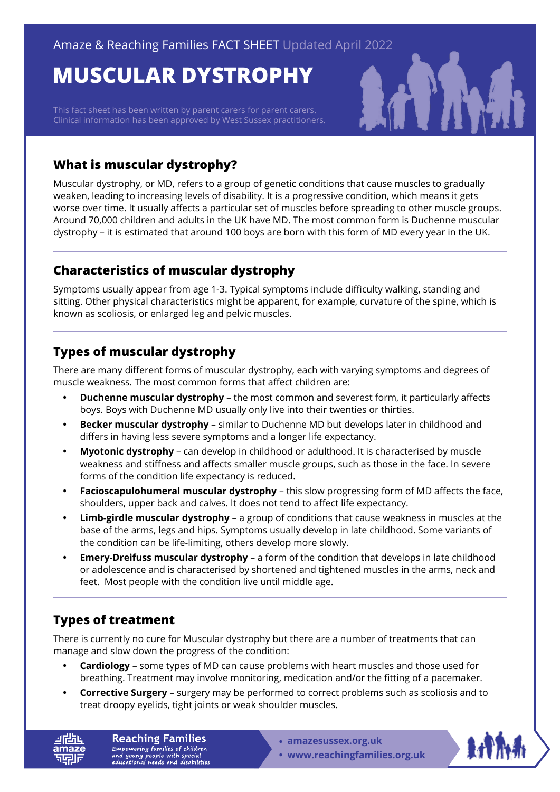# **MUSCULAR DYSTROPHY**

This fact sheet has been written by parent carers for parent carers. Clinical information has been approved by West Sussex practitioners.



### **What is muscular dystrophy?**

Muscular dystrophy, or MD, refers to a group of genetic conditions that cause muscles to gradually weaken, leading to increasing levels of disability. It is a progressive condition, which means it gets worse over time. It usually affects a particular set of muscles before spreading to other muscle groups. Around 70,000 children and adults in the UK have MD. The most common form is Duchenne muscular dystrophy – it is estimated that around 100 boys are born with this form of MD every year in the UK.

# **Characteristics of muscular dystrophy**

Symptoms usually appear from age 1-3. Typical symptoms include difficulty walking, standing and sitting. Other physical characteristics might be apparent, for example, curvature of the spine, which is known as scoliosis, or enlarged leg and pelvic muscles.

# **Types of muscular dystrophy**

There are many different forms of muscular dystrophy, each with varying symptoms and degrees of muscle weakness. The most common forms that affect children are:

- **• Duchenne muscular dystrophy**  the most common and severest form, it particularly affects boys. Boys with Duchenne MD usually only live into their twenties or thirties.
- **• Becker muscular dystrophy**  similar to Duchenne MD but develops later in childhood and differs in having less severe symptoms and a longer life expectancy.
- **• Myotonic dystrophy**  can develop in childhood or adulthood. It is characterised by muscle weakness and stiffness and affects smaller muscle groups, such as those in the face. In severe forms of the condition life expectancy is reduced.
- **• Facioscapulohumeral muscular dystrophy**  this slow progressing form of MD affects the face, shoulders, upper back and calves. It does not tend to affect life expectancy.
- **• Limb-girdle muscular dystrophy**  a group of conditions that cause weakness in muscles at the base of the arms, legs and hips. Symptoms usually develop in late childhood. Some variants of the condition can be life-limiting, others develop more slowly.
- **• Emery-Dreifuss muscular dystrophy**  a form of the condition that develops in late childhood or adolescence and is characterised by shortened and tightened muscles in the arms, neck and feet. Most people with the condition live until middle age.

# **Types of treatment**

There is currently no cure for Muscular dystrophy but there are a number of treatments that can manage and slow down the progress of the condition:

- **• Cardiology**  some types of MD can cause problems with heart muscles and those used for breathing. Treatment may involve monitoring, medication and/or the fitting of a pacemaker.
- **• Corrective Surgery**  surgery may be performed to correct problems such as scoliosis and to treat droopy eyelids, tight joints or weak shoulder muscles.

**Reaching Families** Empowering families of children<br>and young people with special<br>educational needs and disabilities

- **• amazesussex.org.uk**
- **[www.reachingfamilies.org.uk](https://www.reachingfamilies.org.uk)**